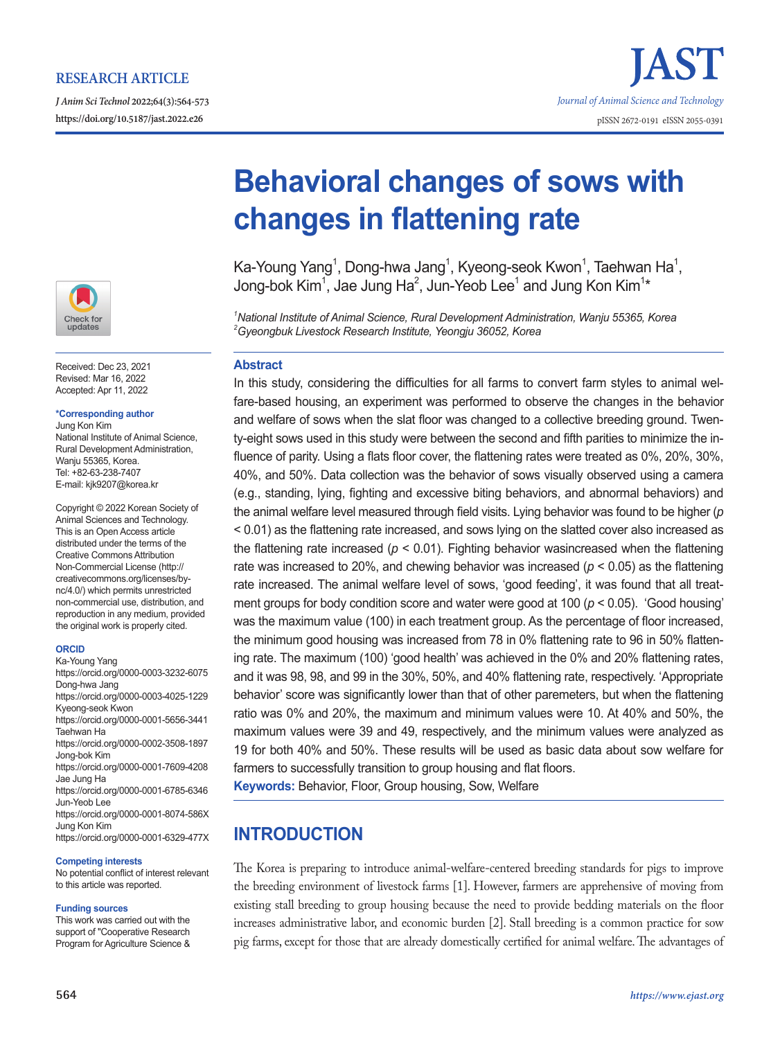*J Anim Sci Technol* **2022;64(3):564-573**





Received: Dec 23, 2021 Revised: Mar 16, 2022 Accepted: Apr 11, 2022

## **\*Corresponding author**

Jung Kon Kim National Institute of Animal Science, Rural Development Administration, Wanju 55365, Korea. Tel: +82-63-238-7407 E-mail: kjk9207@korea.kr

Copyright © 2022 Korean Society of Animal Sciences and Technology. This is an Open Access article distributed under the terms of the Creative Commons Attribution Non-Commercial License (http:// creativecommons.org/licenses/bync/4.0/) which permits unrestricted non-commercial use, distribution, and reproduction in any medium, provided the original work is properly cited.

## **ORCID**

Ka-Young Yang https://orcid.org/0000-0003-3232-6075 Dong-hwa Jang https://orcid.org/0000-0003-4025-1229 Kyeong-seok Kwon https://orcid.org/0000-0001-5656-3441 Taehwan Ha https://orcid.org/0000-0002-3508-1897 Jong-bok Kim https://orcid.org/0000-0001-7609-4208 Jae Jung Ha https://orcid.org/0000-0001-6785-6346 Jun-Yeob Lee https://orcid.org/0000-0001-8074-586X Jung Kon Kim https://orcid.org/0000-0001-6329-477X

## **Competing interests**

No potential conflict of interest relevant to this article was reported.

## **Funding sources**

This work was carried out with the support of "Cooperative Research Program for Agriculture Science &

# **Behavioral changes of sows with changes in flattening rate**

Ka-Young Yang<sup>1</sup>, Dong-hwa Jang<sup>1</sup>, Kyeong-seok Kwon<sup>1</sup>, Taehwan Ha<sup>1</sup>, Jong-bok Kim<sup>1</sup>, Jae Jung Ha<sup>2</sup>, Jun-Yeob Lee<sup>1</sup> and Jung Kon Kim<sup>1</sup>\*

*1 National Institute of Animal Science, Rural Development Administration, Wanju 55365, Korea 2 Gyeongbuk Livestock Research Institute, Yeongju 36052, Korea*

## **Abstract**

In this study, considering the difficulties for all farms to convert farm styles to animal welfare-based housing, an experiment was performed to observe the changes in the behavior and welfare of sows when the slat floor was changed to a collective breeding ground. Twenty-eight sows used in this study were between the second and fifth parities to minimize the influence of parity. Using a flats floor cover, the flattening rates were treated as 0%, 20%, 30%, 40%, and 50%. Data collection was the behavior of sows visually observed using a camera (e.g., standing, lying, fighting and excessive biting behaviors, and abnormal behaviors) and the animal welfare level measured through field visits. Lying behavior was found to be higher (*p* < 0.01) as the flattening rate increased, and sows lying on the slatted cover also increased as the flattening rate increased (*p* < 0.01). Fighting behavior wasincreased when the flattening rate was increased to 20%, and chewing behavior was increased (*p* < 0.05) as the flattening rate increased. The animal welfare level of sows, 'good feeding', it was found that all treatment groups for body condition score and water were good at 100 (*p* < 0.05). 'Good housing' was the maximum value (100) in each treatment group. As the percentage of floor increased, the minimum good housing was increased from 78 in 0% flattening rate to 96 in 50% flattening rate. The maximum (100) 'good health' was achieved in the 0% and 20% flattening rates, and it was 98, 98, and 99 in the 30%, 50%, and 40% flattening rate, respectively. 'Appropriate behavior' score was significantly lower than that of other paremeters, but when the flattening ratio was 0% and 20%, the maximum and minimum values were 10. At 40% and 50%, the maximum values were 39 and 49, respectively, and the minimum values were analyzed as 19 for both 40% and 50%. These results will be used as basic data about sow welfare for farmers to successfully transition to group housing and flat floors.

**Keywords:** Behavior, Floor, Group housing, Sow, Welfare

# **INTRODUCTION**

The Korea is preparing to introduce animal-welfare-centered breeding standards for pigs to improve the breeding environment of livestock farms [1]. However, farmers are apprehensive of moving from existing stall breeding to group housing because the need to provide bedding materials on the floor increases administrative labor, and economic burden [2]. Stall breeding is a common practice for sow pig farms, except for those that are already domestically certified for animal welfare. The advantages of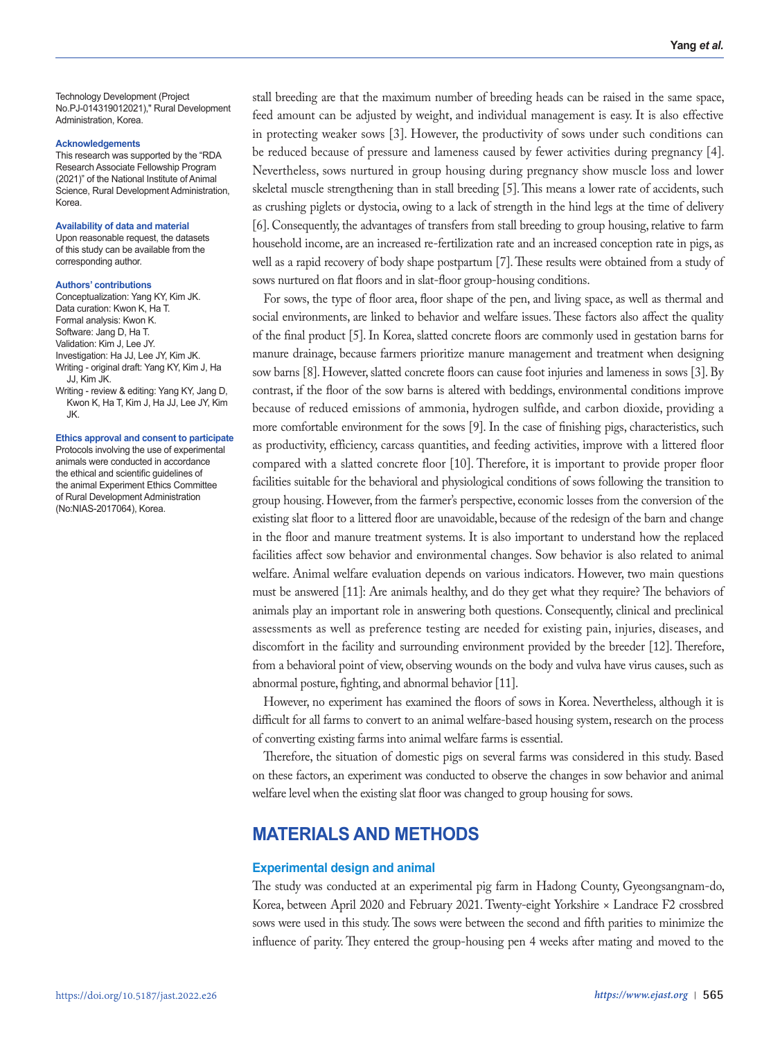Technology Development (Project No.PJ-014319012021)," Rural Development Administration, Korea.

#### **Acknowledgements**

This research was supported by the "RDA Research Associate Fellowship Program (2021)" of the National Institute of Animal Science, Rural Development Administration, Korea.

## **Availability of data and material**

Upon reasonable request, the datasets of this study can be available from the corresponding author.

### **Authors' contributions**

Conceptualization: Yang KY, Kim JK. Data curation: Kwon K, Ha T. Formal analysis: Kwon K. Software: Jang D, Ha T. Validation: Kim J, Lee JY. Investigation: Ha JJ, Lee JY, Kim JK. Writing - original draft: Yang KY, Kim J, Ha JJ, Kim JK. Writing - review & editing: Yang KY, Jang D,

Kwon K, Ha T, Kim J, Ha JJ, Lee JY, Kim JK.

### **Ethics approval and consent to participate**

Protocols involving the use of experimental animals were conducted in accordance the ethical and scientific guidelines of the animal Experiment Ethics Committee of Rural Development Administration (No:NIAS-2017064), Korea.

stall breeding are that the maximum number of breeding heads can be raised in the same space, feed amount can be adjusted by weight, and individual management is easy. It is also effective in protecting weaker sows [3]. However, the productivity of sows under such conditions can be reduced because of pressure and lameness caused by fewer activities during pregnancy [4]. Nevertheless, sows nurtured in group housing during pregnancy show muscle loss and lower skeletal muscle strengthening than in stall breeding [5]. This means a lower rate of accidents, such as crushing piglets or dystocia, owing to a lack of strength in the hind legs at the time of delivery [6]. Consequently, the advantages of transfers from stall breeding to group housing, relative to farm household income, are an increased re-fertilization rate and an increased conception rate in pigs, as well as a rapid recovery of body shape postpartum [7]. These results were obtained from a study of sows nurtured on flat floors and in slat-floor group-housing conditions.

For sows, the type of floor area, floor shape of the pen, and living space, as well as thermal and social environments, are linked to behavior and welfare issues. These factors also affect the quality of the final product [5]. In Korea, slatted concrete floors are commonly used in gestation barns for manure drainage, because farmers prioritize manure management and treatment when designing sow barns [8]. However, slatted concrete floors can cause foot injuries and lameness in sows [3]. By contrast, if the floor of the sow barns is altered with beddings, environmental conditions improve because of reduced emissions of ammonia, hydrogen sulfide, and carbon dioxide, providing a more comfortable environment for the sows [9]. In the case of finishing pigs, characteristics, such as productivity, efficiency, carcass quantities, and feeding activities, improve with a littered floor compared with a slatted concrete floor [10]. Therefore, it is important to provide proper floor facilities suitable for the behavioral and physiological conditions of sows following the transition to group housing. However, from the farmer's perspective, economic losses from the conversion of the existing slat floor to a littered floor are unavoidable, because of the redesign of the barn and change in the floor and manure treatment systems. It is also important to understand how the replaced facilities affect sow behavior and environmental changes. Sow behavior is also related to animal welfare. Animal welfare evaluation depends on various indicators. However, two main questions must be answered [11]: Are animals healthy, and do they get what they require? The behaviors of animals play an important role in answering both questions. Consequently, clinical and preclinical assessments as well as preference testing are needed for existing pain, injuries, diseases, and discomfort in the facility and surrounding environment provided by the breeder [12]. Therefore, from a behavioral point of view, observing wounds on the body and vulva have virus causes, such as abnormal posture, fighting, and abnormal behavior [11].

However, no experiment has examined the floors of sows in Korea. Nevertheless, although it is difficult for all farms to convert to an animal welfare-based housing system, research on the process of converting existing farms into animal welfare farms is essential.

Therefore, the situation of domestic pigs on several farms was considered in this study. Based on these factors, an experiment was conducted to observe the changes in sow behavior and animal welfare level when the existing slat floor was changed to group housing for sows.

# **MATERIALS AND METHODS**

## **Experimental design and animal**

The study was conducted at an experimental pig farm in Hadong County, Gyeongsangnam-do, Korea, between April 2020 and February 2021. Twenty-eight Yorkshire × Landrace F2 crossbred sows were used in this study. The sows were between the second and fifth parities to minimize the influence of parity. They entered the group-housing pen 4 weeks after mating and moved to the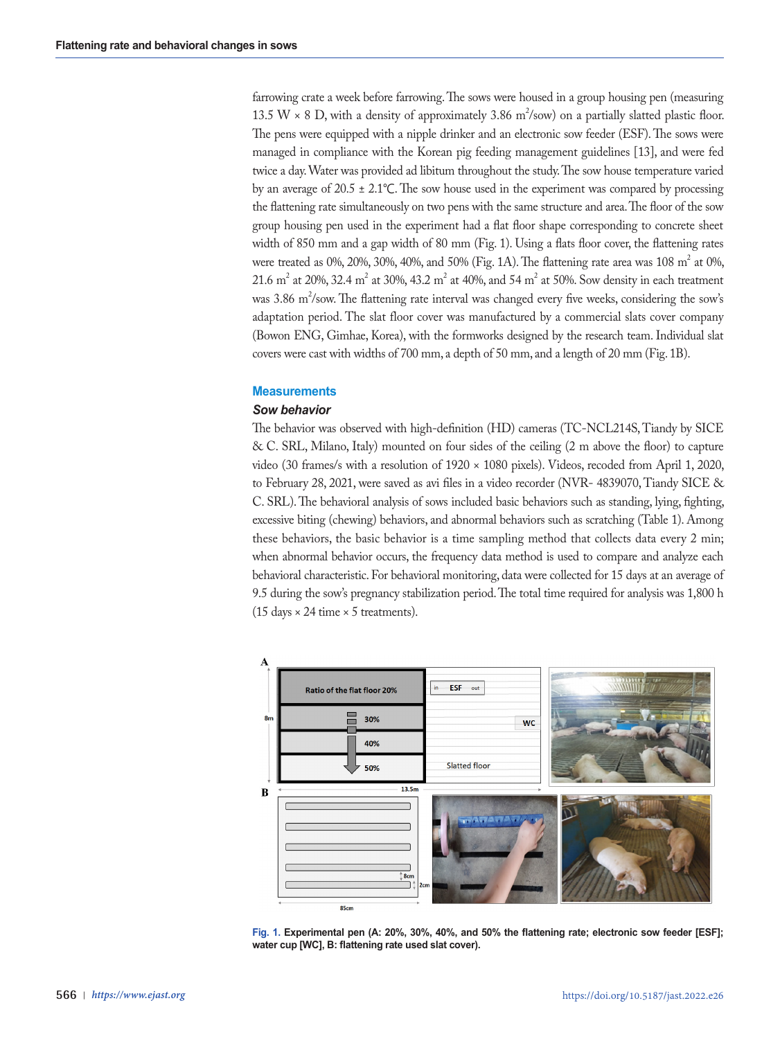farrowing crate a week before farrowing. The sows were housed in a group housing pen (measuring 13.5 W  $\times$  8 D, with a density of approximately 3.86 m<sup>2</sup>/sow) on a partially slatted plastic floor. The pens were equipped with a nipple drinker and an electronic sow feeder (ESF). The sows were managed in compliance with the Korean pig feeding management guidelines [13], and were fed twice a day. Water was provided ad libitum throughout the study. The sow house temperature varied by an average of 20.5 ± 2.1℃. The sow house used in the experiment was compared by processing the flattening rate simultaneously on two pens with the same structure and area. The floor of the sow group housing pen used in the experiment had a flat floor shape corresponding to concrete sheet width of 850 mm and a gap width of 80 mm (Fig. 1). Using a flats floor cover, the flattening rates were treated as 0%, 20%, 30%, 40%, and 50% (Fig. 1A). The flattening rate area was 108  $m^2$  at 0%, 21.6  $\text{m}^2$  at 20%, 32.4  $\text{m}^2$  at 30%, 43.2  $\text{m}^2$  at 40%, and 54  $\text{m}^2$  at 50%. Sow density in each treatment was 3.86 m<sup>2</sup>/sow. The flattening rate interval was changed every five weeks, considering the sow's adaptation period. The slat floor cover was manufactured by a commercial slats cover company (Bowon ENG, Gimhae, Korea), with the formworks designed by the research team. Individual slat covers were cast with widths of 700 mm, a depth of 50 mm, and a length of 20 mm (Fig. 1B).

## **Measurements**

## *Sow behavior*

The behavior was observed with high-definition (HD) cameras (TC-NCL214S, Tiandy by SICE & C. SRL, Milano, Italy) mounted on four sides of the ceiling (2 m above the floor) to capture video (30 frames/s with a resolution of 1920 × 1080 pixels). Videos, recoded from April 1, 2020, to February 28, 2021, were saved as avi files in a video recorder (NVR- 4839070, Tiandy SICE & C. SRL). The behavioral analysis of sows included basic behaviors such as standing, lying, fighting, excessive biting (chewing) behaviors, and abnormal behaviors such as scratching (Table 1). Among these behaviors, the basic behavior is a time sampling method that collects data every 2 min; when abnormal behavior occurs, the frequency data method is used to compare and analyze each behavioral characteristic. For behavioral monitoring, data were collected for 15 days at an average of 9.5 during the sow's pregnancy stabilization period. The total time required for analysis was 1,800 h (15 days  $\times$  24 time  $\times$  5 treatments).



**Fig. 1. Experimental pen (A: 20%, 30%, 40%, and 50% the flattening rate; electronic sow feeder [ESF]; water cup [WC], B: flattening rate used slat cover).**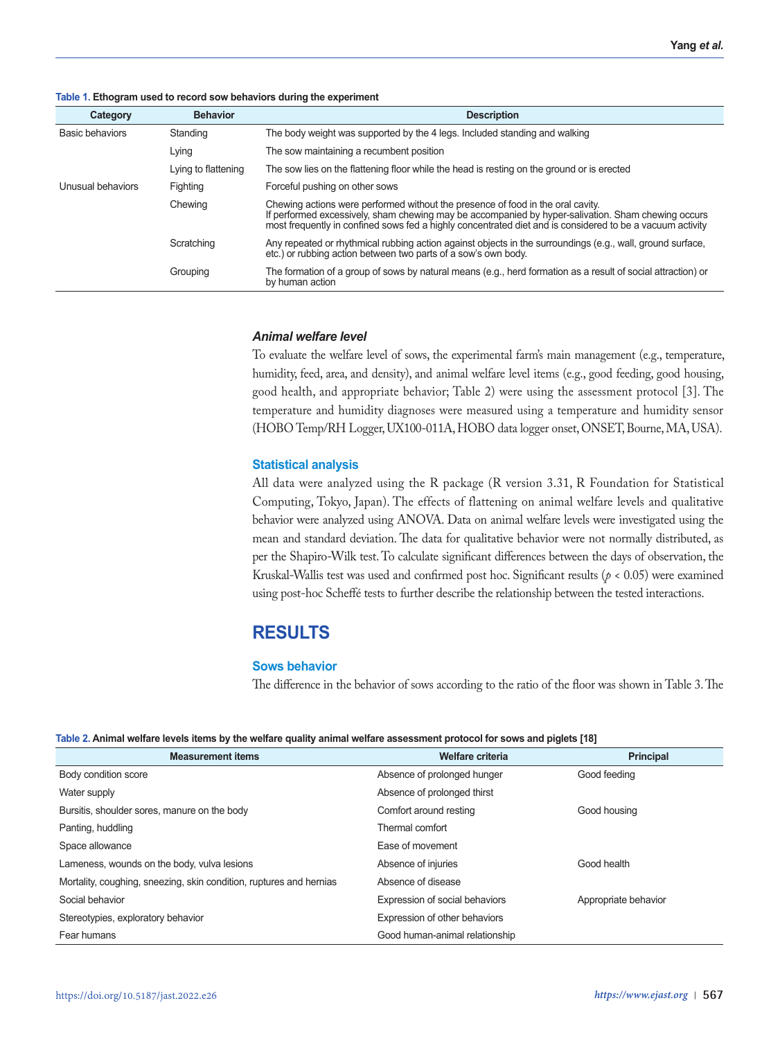|  |  |  |  |  |  | Table 1. Ethogram used to record sow behaviors during the experiment |
|--|--|--|--|--|--|----------------------------------------------------------------------|
|--|--|--|--|--|--|----------------------------------------------------------------------|

| Category          | <b>Behavior</b>     | <b>Description</b>                                                                                                                                                                                                                                                                                 |
|-------------------|---------------------|----------------------------------------------------------------------------------------------------------------------------------------------------------------------------------------------------------------------------------------------------------------------------------------------------|
| Basic behaviors   | Standing            | The body weight was supported by the 4 legs. Included standing and walking                                                                                                                                                                                                                         |
|                   | Lying               | The sow maintaining a recumbent position                                                                                                                                                                                                                                                           |
|                   | Lying to flattening | The sow lies on the flattening floor while the head is resting on the ground or is erected                                                                                                                                                                                                         |
| Unusual behaviors | Fighting            | Forceful pushing on other sows                                                                                                                                                                                                                                                                     |
|                   | Chewing             | Chewing actions were performed without the presence of food in the oral cavity.<br>If performed excessively, sham chewing may be accompanied by hyper-salivation. Sham chewing occurs<br>most frequently in confined sows fed a highly concentrated diet and is considered to be a vacuum activity |
|                   | Scratching          | Any repeated or rhythmical rubbing action against objects in the surroundings (e.g., wall, ground surface,<br>etc.) or rubbing action between two parts of a sow's own body.                                                                                                                       |
|                   | Grouping            | The formation of a group of sows by natural means (e.g., herd formation as a result of social attraction) or<br>by human action                                                                                                                                                                    |

## *Animal welfare level*

To evaluate the welfare level of sows, the experimental farm's main management (e.g., temperature, humidity, feed, area, and density), and animal welfare level items (e.g., good feeding, good housing, good health, and appropriate behavior; Table 2) were using the assessment protocol [3]. The temperature and humidity diagnoses were measured using a temperature and humidity sensor (HOBO Temp/RH Logger, UX100-011A, HOBO data logger onset, ONSET, Bourne, MA, USA).

## **Statistical analysis**

All data were analyzed using the R package (R version 3.31, R Foundation for Statistical Computing, Tokyo, Japan). The effects of flattening on animal welfare levels and qualitative behavior were analyzed using ANOVA. Data on animal welfare levels were investigated using the mean and standard deviation. The data for qualitative behavior were not normally distributed, as per the Shapiro-Wilk test. To calculate significant differences between the days of observation, the Kruskal-Wallis test was used and confirmed post hoc. Significant results (*p* < 0.05) were examined using post-hoc Scheffé tests to further describe the relationship between the tested interactions.

## **RESULTS**

## **Sows behavior**

The difference in the behavior of sows according to the ratio of the floor was shown in Table 3. The

|  | Table 2. Animal welfare levels items by the welfare quality animal welfare assessment protocol for sows and piglets [18] |
|--|--------------------------------------------------------------------------------------------------------------------------|
|  |                                                                                                                          |

| <b>Measurement items</b>                                            | <b>Welfare criteria</b>        | <b>Principal</b>     |
|---------------------------------------------------------------------|--------------------------------|----------------------|
| Body condition score                                                | Absence of prolonged hunger    | Good feeding         |
| Water supply                                                        | Absence of prolonged thirst    |                      |
| Bursitis, shoulder sores, manure on the body                        | Comfort around resting         | Good housing         |
| Panting, huddling                                                   | Thermal comfort                |                      |
| Space allowance                                                     | Ease of movement               |                      |
| Lameness, wounds on the body, vulva lesions                         | Absence of injuries            | Good health          |
| Mortality, coughing, sneezing, skin condition, ruptures and hernias | Absence of disease             |                      |
| Social behavior                                                     | Expression of social behaviors | Appropriate behavior |
| Stereotypies, exploratory behavior                                  | Expression of other behaviors  |                      |
| Fear humans                                                         | Good human-animal relationship |                      |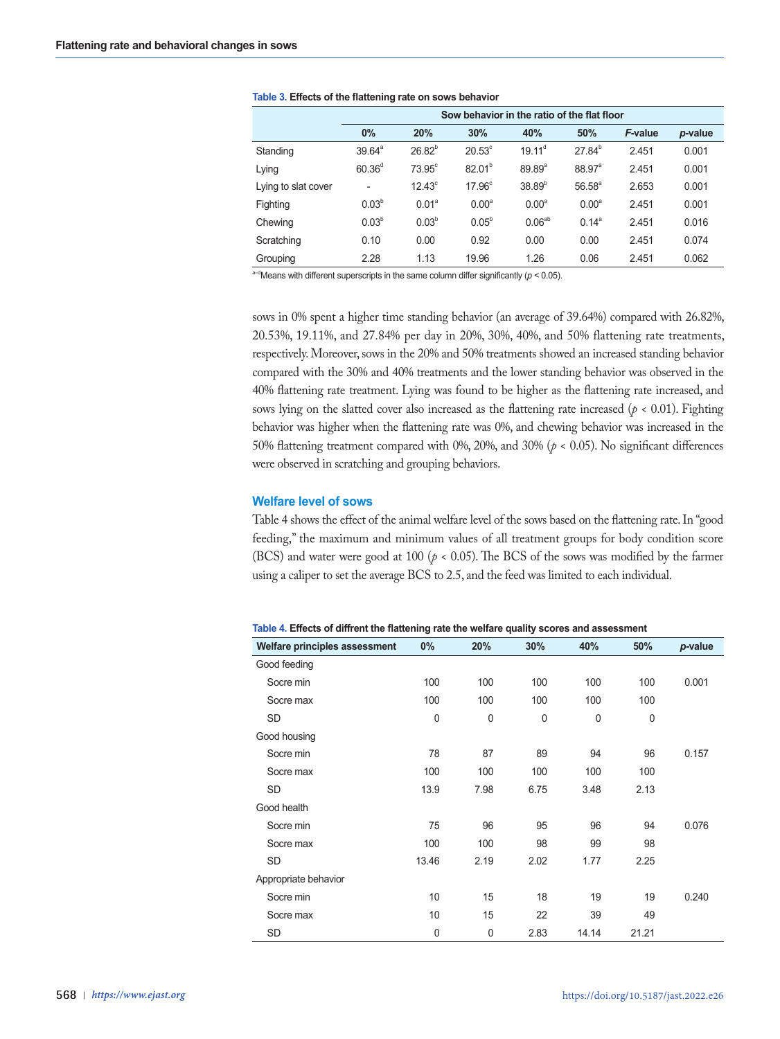|                     | Sow behavior in the ratio of the flat floor |                   |                    |                    |                    |         |         |
|---------------------|---------------------------------------------|-------------------|--------------------|--------------------|--------------------|---------|---------|
|                     | 0%                                          | 20%               | 30%                | 40%                | 50%                | F-value | p-value |
| Standing            | $39.64^{\circ}$                             | $26.82^{b}$       | $20.53^\circ$      | $19.11^d$          | $27.84^{b}$        | 2.451   | 0.001   |
| Lying               | 60.36 <sup>d</sup>                          | $73.95^\circ$     | $82.01^{b}$        | $89.89^{\circ}$    | 88.97 <sup>a</sup> | 2.451   | 0.001   |
| Lying to slat cover | $\overline{\phantom{a}}$                    | $12.43^{\circ}$   | 17.96 <sup>c</sup> | $38.89^{b}$        | $56.58^{a}$        | 2.653   | 0.001   |
| Fighting            | $0.03^{b}$                                  | 0.01 <sup>a</sup> | 0.00 <sup>a</sup>  | $0.00^{\circ}$     | 0.00 <sup>a</sup>  | 2.451   | 0.001   |
| Chewing             | 0.03 <sup>b</sup>                           | $0.03^{b}$        | $0.05^{b}$         | 0.06 <sup>ab</sup> | $0.14^a$           | 2.451   | 0.016   |
| Scratching          | 0.10                                        | 0.00              | 0.92               | 0.00               | 0.00               | 2.451   | 0.074   |
| Grouping            | 2.28                                        | 1.13              | 19.96              | 1.26               | 0.06               | 2.451   | 0.062   |

**Table 3. Effects of the flattening rate on sows behavior**

 $a-d$ Means with different superscripts in the same column differ significantly ( $p < 0.05$ ).

sows in 0% spent a higher time standing behavior (an average of 39.64%) compared with 26.82%, 20.53%, 19.11%, and 27.84% per day in 20%, 30%, 40%, and 50% flattening rate treatments, respectively. Moreover, sows in the 20% and 50% treatments showed an increased standing behavior compared with the 30% and 40% treatments and the lower standing behavior was observed in the 40% flattening rate treatment. Lying was found to be higher as the flattening rate increased, and sows lying on the slatted cover also increased as the flattening rate increased ( $p < 0.01$ ). Fighting behavior was higher when the flattening rate was 0%, and chewing behavior was increased in the 50% flattening treatment compared with 0%, 20%, and 30% (*p* < 0.05). No significant differences were observed in scratching and grouping behaviors.

## **Welfare level of sows**

Table 4 shows the effect of the animal welfare level of the sows based on the flattening rate. In "good feeding," the maximum and minimum values of all treatment groups for body condition score (BCS) and water were good at 100 ( $p < 0.05$ ). The BCS of the sows was modified by the farmer using a caliper to set the average BCS to 2.5, and the feed was limited to each individual.

| Welfare principles assessment | $0\%$       | 20%         | 30%         | 40%         | 50%         | p-value |
|-------------------------------|-------------|-------------|-------------|-------------|-------------|---------|
| Good feeding                  |             |             |             |             |             |         |
| Socre min                     | 100         | 100         | 100         | 100         | 100         | 0.001   |
| Socre max                     | 100         | 100         | 100         | 100         | 100         |         |
| <b>SD</b>                     | $\mathbf 0$ | $\mathbf 0$ | $\mathbf 0$ | $\mathbf 0$ | $\mathbf 0$ |         |
| Good housing                  |             |             |             |             |             |         |
| Socre min                     | 78          | 87          | 89          | 94          | 96          | 0.157   |
| Socre max                     | 100         | 100         | 100         | 100         | 100         |         |
| <b>SD</b>                     | 13.9        | 7.98        | 6.75        | 3.48        | 2.13        |         |
| Good health                   |             |             |             |             |             |         |
| Socre min                     | 75          | 96          | 95          | 96          | 94          | 0.076   |
| Socre max                     | 100         | 100         | 98          | 99          | 98          |         |
| SD                            | 13.46       | 2.19        | 2.02        | 1.77        | 2.25        |         |
| Appropriate behavior          |             |             |             |             |             |         |
| Socre min                     | 10          | 15          | 18          | 19          | 19          | 0.240   |
| Socre max                     | 10          | 15          | 22          | 39          | 49          |         |
| SD                            | 0           | $\mathbf 0$ | 2.83        | 14.14       | 21.21       |         |

**Table 4. Effects of diffrent the flattening rate the welfare quality scores and assessment**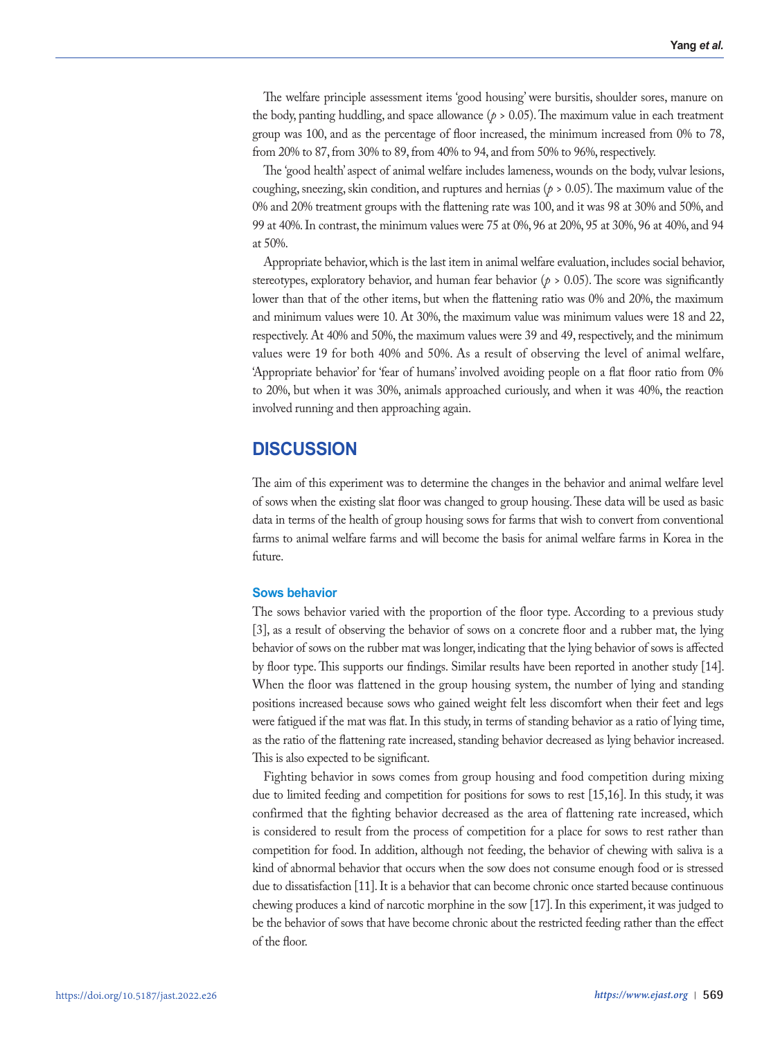The welfare principle assessment items 'good housing' were bursitis, shoulder sores, manure on the body, panting huddling, and space allowance  $(p > 0.05)$ . The maximum value in each treatment group was 100, and as the percentage of floor increased, the minimum increased from 0% to 78, from 20% to 87, from 30% to 89, from 40% to 94, and from 50% to 96%, respectively.

The 'good health' aspect of animal welfare includes lameness, wounds on the body, vulvar lesions, coughing, sneezing, skin condition, and ruptures and hernias ( $p > 0.05$ ). The maximum value of the 0% and 20% treatment groups with the flattening rate was 100, and it was 98 at 30% and 50%, and 99 at 40%. In contrast, the minimum values were 75 at 0%, 96 at 20%, 95 at 30%, 96 at 40%, and 94 at 50%.

Appropriate behavior, which is the last item in animal welfare evaluation, includes social behavior, stereotypes, exploratory behavior, and human fear behavior ( $p > 0.05$ ). The score was significantly lower than that of the other items, but when the flattening ratio was 0% and 20%, the maximum and minimum values were 10. At 30%, the maximum value was minimum values were 18 and 22, respectively. At 40% and 50%, the maximum values were 39 and 49, respectively, and the minimum values were 19 for both 40% and 50%. As a result of observing the level of animal welfare, 'Appropriate behavior' for 'fear of humans' involved avoiding people on a flat floor ratio from 0% to 20%, but when it was 30%, animals approached curiously, and when it was 40%, the reaction involved running and then approaching again.

# **DISCUSSION**

The aim of this experiment was to determine the changes in the behavior and animal welfare level of sows when the existing slat floor was changed to group housing. These data will be used as basic data in terms of the health of group housing sows for farms that wish to convert from conventional farms to animal welfare farms and will become the basis for animal welfare farms in Korea in the future.

## **Sows behavior**

The sows behavior varied with the proportion of the floor type. According to a previous study [3], as a result of observing the behavior of sows on a concrete floor and a rubber mat, the lying behavior of sows on the rubber mat was longer, indicating that the lying behavior of sows is affected by floor type. This supports our findings. Similar results have been reported in another study [14]. When the floor was flattened in the group housing system, the number of lying and standing positions increased because sows who gained weight felt less discomfort when their feet and legs were fatigued if the mat was flat. In this study, in terms of standing behavior as a ratio of lying time, as the ratio of the flattening rate increased, standing behavior decreased as lying behavior increased. This is also expected to be significant.

Fighting behavior in sows comes from group housing and food competition during mixing due to limited feeding and competition for positions for sows to rest [15,16]. In this study, it was confirmed that the fighting behavior decreased as the area of flattening rate increased, which is considered to result from the process of competition for a place for sows to rest rather than competition for food. In addition, although not feeding, the behavior of chewing with saliva is a kind of abnormal behavior that occurs when the sow does not consume enough food or is stressed due to dissatisfaction [11]. It is a behavior that can become chronic once started because continuous chewing produces a kind of narcotic morphine in the sow [17]. In this experiment, it was judged to be the behavior of sows that have become chronic about the restricted feeding rather than the effect of the floor.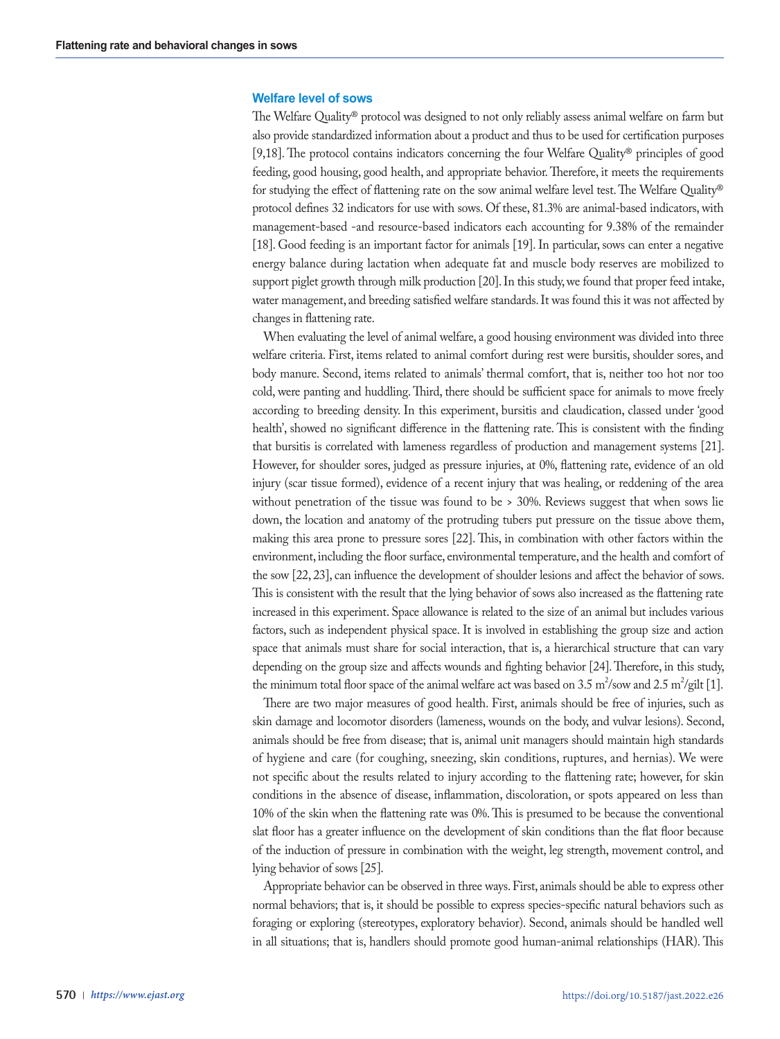## **Welfare level of sows**

The Welfare Quality® protocol was designed to not only reliably assess animal welfare on farm but also provide standardized information about a product and thus to be used for certification purposes [9,18]. The protocol contains indicators concerning the four Welfare Quality® principles of good feeding, good housing, good health, and appropriate behavior. Therefore, it meets the requirements for studying the effect of flattening rate on the sow animal welfare level test. The Welfare Quality® protocol defines 32 indicators for use with sows. Of these, 81.3% are animal-based indicators, with management-based -and resource-based indicators each accounting for 9.38% of the remainder [18]. Good feeding is an important factor for animals [19]. In particular, sows can enter a negative energy balance during lactation when adequate fat and muscle body reserves are mobilized to support piglet growth through milk production [20]. In this study, we found that proper feed intake, water management, and breeding satisfied welfare standards. It was found this it was not affected by changes in flattening rate.

When evaluating the level of animal welfare, a good housing environment was divided into three welfare criteria. First, items related to animal comfort during rest were bursitis, shoulder sores, and body manure. Second, items related to animals' thermal comfort, that is, neither too hot nor too cold, were panting and huddling. Third, there should be sufficient space for animals to move freely according to breeding density. In this experiment, bursitis and claudication, classed under 'good health', showed no significant difference in the flattening rate. This is consistent with the finding that bursitis is correlated with lameness regardless of production and management systems [21]. However, for shoulder sores, judged as pressure injuries, at 0%, flattening rate, evidence of an old injury (scar tissue formed), evidence of a recent injury that was healing, or reddening of the area without penetration of the tissue was found to be > 30%. Reviews suggest that when sows lie down, the location and anatomy of the protruding tubers put pressure on the tissue above them, making this area prone to pressure sores [22]. This, in combination with other factors within the environment, including the floor surface, environmental temperature, and the health and comfort of the sow [22, 23], can influence the development of shoulder lesions and affect the behavior of sows. This is consistent with the result that the lying behavior of sows also increased as the flattening rate increased in this experiment. Space allowance is related to the size of an animal but includes various factors, such as independent physical space. It is involved in establishing the group size and action space that animals must share for social interaction, that is, a hierarchical structure that can vary depending on the group size and affects wounds and fighting behavior [24]. Therefore, in this study, the minimum total floor space of the animal welfare act was based on 3.5 m<sup>2</sup>/sow and 2.5 m<sup>2</sup>/gilt [1].

There are two major measures of good health. First, animals should be free of injuries, such as skin damage and locomotor disorders (lameness, wounds on the body, and vulvar lesions). Second, animals should be free from disease; that is, animal unit managers should maintain high standards of hygiene and care (for coughing, sneezing, skin conditions, ruptures, and hernias). We were not specific about the results related to injury according to the flattening rate; however, for skin conditions in the absence of disease, inflammation, discoloration, or spots appeared on less than 10% of the skin when the flattening rate was 0%. This is presumed to be because the conventional slat floor has a greater influence on the development of skin conditions than the flat floor because of the induction of pressure in combination with the weight, leg strength, movement control, and lying behavior of sows [25].

Appropriate behavior can be observed in three ways. First, animals should be able to express other normal behaviors; that is, it should be possible to express species-specific natural behaviors such as foraging or exploring (stereotypes, exploratory behavior). Second, animals should be handled well in all situations; that is, handlers should promote good human-animal relationships (HAR). This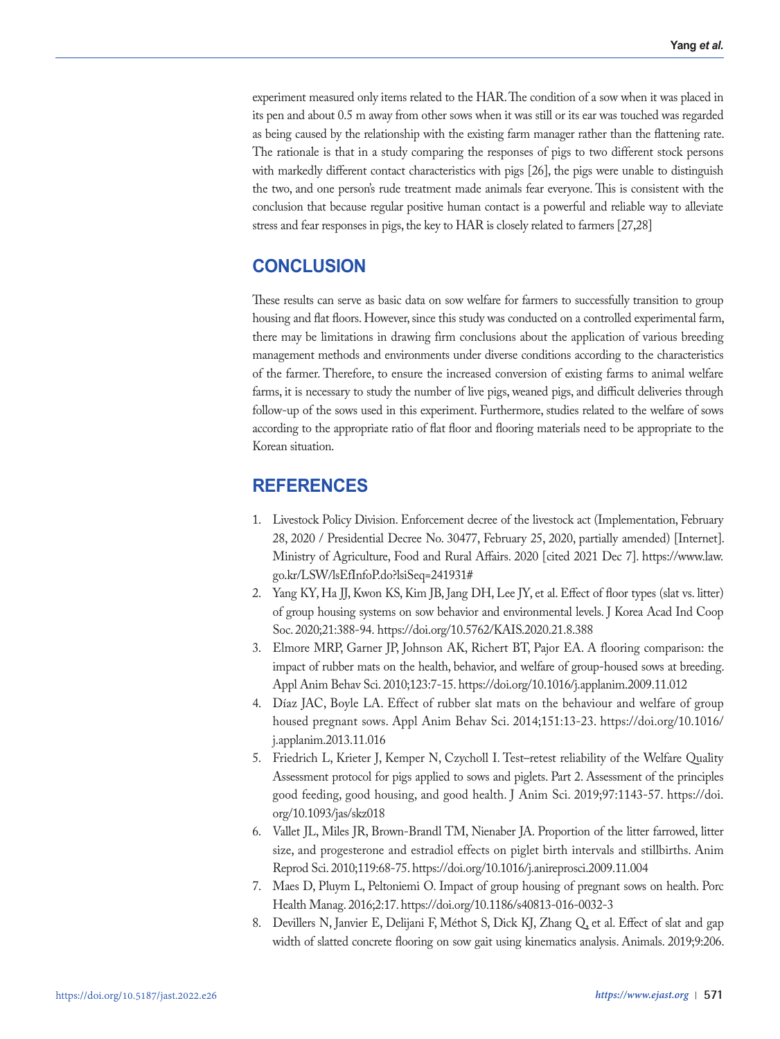experiment measured only items related to the HAR. The condition of a sow when it was placed in its pen and about 0.5 m away from other sows when it was still or its ear was touched was regarded as being caused by the relationship with the existing farm manager rather than the flattening rate. The rationale is that in a study comparing the responses of pigs to two different stock persons with markedly different contact characteristics with pigs [26], the pigs were unable to distinguish the two, and one person's rude treatment made animals fear everyone. This is consistent with the conclusion that because regular positive human contact is a powerful and reliable way to alleviate stress and fear responses in pigs, the key to HAR is closely related to farmers [27,28]

# **CONCLUSION**

These results can serve as basic data on sow welfare for farmers to successfully transition to group housing and flat floors. However, since this study was conducted on a controlled experimental farm, there may be limitations in drawing firm conclusions about the application of various breeding management methods and environments under diverse conditions according to the characteristics of the farmer. Therefore, to ensure the increased conversion of existing farms to animal welfare farms, it is necessary to study the number of live pigs, weaned pigs, and difficult deliveries through follow-up of the sows used in this experiment. Furthermore, studies related to the welfare of sows according to the appropriate ratio of flat floor and flooring materials need to be appropriate to the Korean situation.

# **REFERENCES**

- 1. Livestock Policy Division. Enforcement decree of the livestock act (Implementation, February 28, 2020 / Presidential Decree No. 30477, February 25, 2020, partially amended) [Internet]. Ministry of Agriculture, Food and Rural Affairs. 2020 [cited 2021 Dec 7]. https://www.law. go.kr/LSW/lsEfInfoP.do?lsiSeq=241931#
- 2. Yang KY, Ha JJ, Kwon KS, Kim JB, Jang DH, Lee JY, et al. Effect of floor types (slat vs. litter) of group housing systems on sow behavior and environmental levels. J Korea Acad Ind Coop Soc. 2020;21:388-94. https://doi.org/10.5762/KAIS.2020.21.8.388
- 3. Elmore MRP, Garner JP, Johnson AK, Richert BT, Pajor EA. A flooring comparison: the impact of rubber mats on the health, behavior, and welfare of group-housed sows at breeding. Appl Anim Behav Sci. 2010;123:7-15. https://doi.org/10.1016/j.applanim.2009.11.012
- 4. Díaz JAC, Boyle LA. Effect of rubber slat mats on the behaviour and welfare of group housed pregnant sows. Appl Anim Behav Sci. 2014;151:13-23. https://doi.org/10.1016/ j.applanim.2013.11.016
- 5. Friedrich L, Krieter J, Kemper N, Czycholl I. Test–retest reliability of the Welfare Quality Assessment protocol for pigs applied to sows and piglets. Part 2. Assessment of the principles good feeding, good housing, and good health. J Anim Sci. 2019;97:1143-57. https://doi. org/10.1093/jas/skz018
- 6. Vallet JL, Miles JR, Brown-Brandl TM, Nienaber JA. Proportion of the litter farrowed, litter size, and progesterone and estradiol effects on piglet birth intervals and stillbirths. Anim Reprod Sci. 2010;119:68-75. https://doi.org/10.1016/j.anireprosci.2009.11.004
- 7. Maes D, Pluym L, Peltoniemi O. Impact of group housing of pregnant sows on health. Porc Health Manag. 2016;2:17. https://doi.org/10.1186/s40813-016-0032-3
- 8. Devillers N, Janvier E, Delijani F, Méthot S, Dick KJ, Zhang Q, et al. Effect of slat and gap width of slatted concrete flooring on sow gait using kinematics analysis. Animals. 2019;9:206.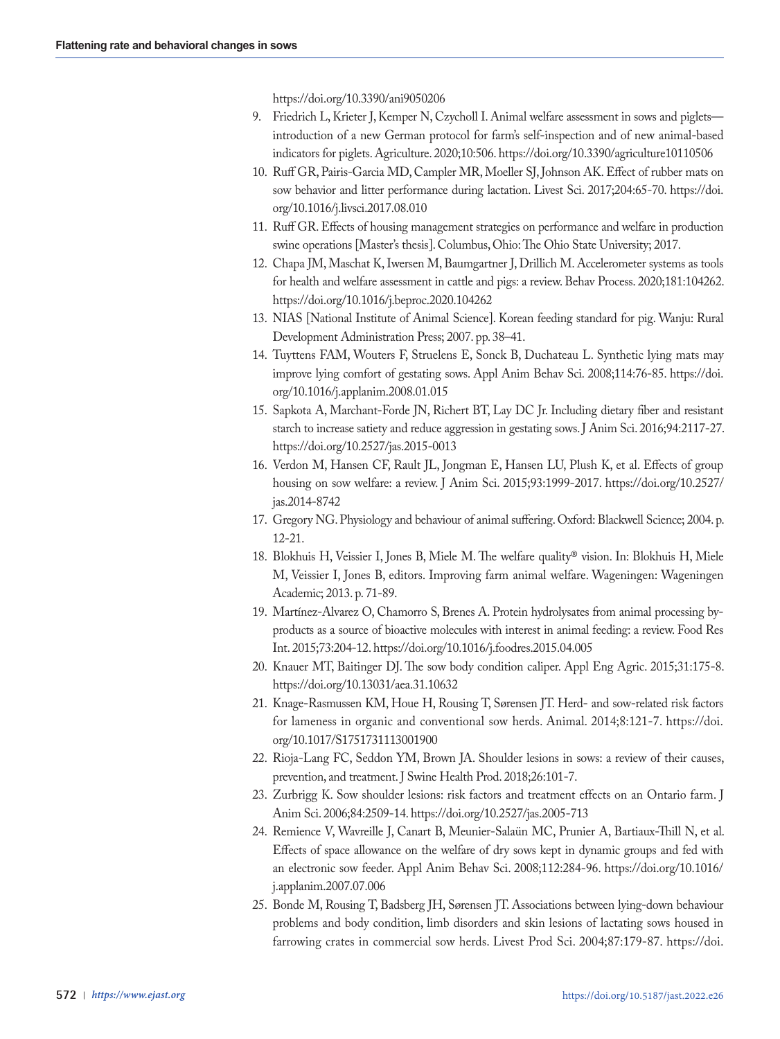https://doi.org/10.3390/ani9050206

- 9. Friedrich L, Krieter J, Kemper N, Czycholl I. Animal welfare assessment in sows and piglets introduction of a new German protocol for farm's self-inspection and of new animal-based indicators for piglets. Agriculture. 2020;10:506. https://doi.org/10.3390/agriculture10110506
- 10. Ruff GR, Pairis-Garcia MD, Campler MR, Moeller SJ, Johnson AK. Effect of rubber mats on sow behavior and litter performance during lactation. Livest Sci. 2017;204:65-70. https://doi. org/10.1016/j.livsci.2017.08.010
- 11. Ruff GR. Effects of housing management strategies on performance and welfare in production swine operations [Master's thesis]. Columbus, Ohio: The Ohio State University; 2017.
- 12. Chapa JM, Maschat K, Iwersen M, Baumgartner J, Drillich M. Accelerometer systems as tools for health and welfare assessment in cattle and pigs: a review. Behav Process. 2020;181:104262. https://doi.org/10.1016/j.beproc.2020.104262
- 13. NIAS [National Institute of Animal Science]. Korean feeding standard for pig. Wanju: Rural Development Administration Press; 2007. pp. 38–41.
- 14. Tuyttens FAM, Wouters F, Struelens E, Sonck B, Duchateau L. Synthetic lying mats may improve lying comfort of gestating sows. Appl Anim Behav Sci. 2008;114:76-85. https://doi. org/10.1016/j.applanim.2008.01.015
- 15. Sapkota A, Marchant-Forde JN, Richert BT, Lay DC Jr. Including dietary fiber and resistant starch to increase satiety and reduce aggression in gestating sows. J Anim Sci. 2016;94:2117-27. https://doi.org/10.2527/jas.2015-0013
- 16. Verdon M, Hansen CF, Rault JL, Jongman E, Hansen LU, Plush K, et al. Effects of group housing on sow welfare: a review. J Anim Sci. 2015;93:1999-2017. https://doi.org/10.2527/ jas.2014-8742
- 17. Gregory NG. Physiology and behaviour of animal suffering. Oxford: Blackwell Science; 2004. p. 12-21.
- 18. Blokhuis H, Veissier I, Jones B, Miele M. The welfare quality® vision. In: Blokhuis H, Miele M, Veissier I, Jones B, editors. Improving farm animal welfare. Wageningen: Wageningen Academic; 2013. p. 71-89.
- 19. Martínez-Alvarez O, Chamorro S, Brenes A. Protein hydrolysates from animal processing byproducts as a source of bioactive molecules with interest in animal feeding: a review. Food Res Int. 2015;73:204-12. https://doi.org/10.1016/j.foodres.2015.04.005
- 20. Knauer MT, Baitinger DJ. The sow body condition caliper. Appl Eng Agric. 2015;31:175-8. https://doi.org/10.13031/aea.31.10632
- 21. Knage-Rasmussen KM, Houe H, Rousing T, Sørensen JT. Herd- and sow-related risk factors for lameness in organic and conventional sow herds. Animal. 2014;8:121-7. https://doi. org/10.1017/S1751731113001900
- 22. Rioja-Lang FC, Seddon YM, Brown JA. Shoulder lesions in sows: a review of their causes, prevention, and treatment. J Swine Health Prod. 2018;26:101-7.
- 23. Zurbrigg K. Sow shoulder lesions: risk factors and treatment effects on an Ontario farm. J Anim Sci. 2006;84:2509-14. https://doi.org/10.2527/jas.2005-713
- 24. Remience V, Wavreille J, Canart B, Meunier-Salaün MC, Prunier A, Bartiaux-Thill N, et al. Effects of space allowance on the welfare of dry sows kept in dynamic groups and fed with an electronic sow feeder. Appl Anim Behav Sci. 2008;112:284-96. https://doi.org/10.1016/ j.applanim.2007.07.006
- 25. Bonde M, Rousing T, Badsberg JH, Sørensen JT. Associations between lying-down behaviour problems and body condition, limb disorders and skin lesions of lactating sows housed in farrowing crates in commercial sow herds. Livest Prod Sci. 2004;87:179-87. https://doi.